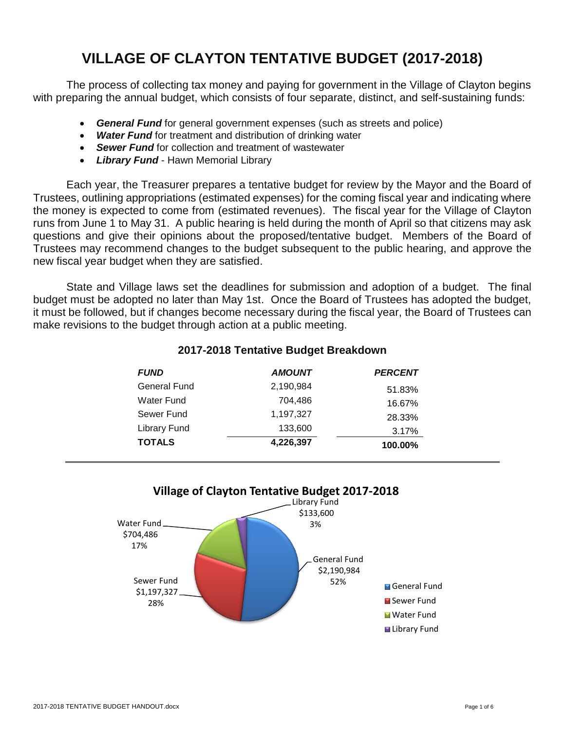# **VILLAGE OF CLAYTON TENTATIVE BUDGET (2017-2018)**

The process of collecting tax money and paying for government in the Village of Clayton begins with preparing the annual budget, which consists of four separate, distinct, and self-sustaining funds:

- *General Fund* for general government expenses (such as streets and police)
- *Water Fund* for treatment and distribution of drinking water
- *Sewer Fund* for collection and treatment of wastewater
- *Library Fund* Hawn Memorial Library

Each year, the Treasurer prepares a tentative budget for review by the Mayor and the Board of Trustees, outlining appropriations (estimated expenses) for the coming fiscal year and indicating where the money is expected to come from (estimated revenues). The fiscal year for the Village of Clayton runs from June 1 to May 31. A public hearing is held during the month of April so that citizens may ask questions and give their opinions about the proposed/tentative budget. Members of the Board of Trustees may recommend changes to the budget subsequent to the public hearing, and approve the new fiscal year budget when they are satisfied.

State and Village laws set the deadlines for submission and adoption of a budget. The final budget must be adopted no later than May 1st. Once the Board of Trustees has adopted the budget, it must be followed, but if changes become necessary during the fiscal year, the Board of Trustees can make revisions to the budget through action at a public meeting.

| <b>FUND</b>         | <b>AMOUNT</b> | <b>PERCENT</b> |  |
|---------------------|---------------|----------------|--|
| <b>General Fund</b> | 2,190,984     | 51.83%         |  |
| Water Fund          | 704,486       | 16.67%         |  |
| Sewer Fund          | 1,197,327     | 28.33%         |  |
| Library Fund        | 133,600       | 3.17%          |  |
| <b>TOTALS</b>       | 4,226,397     | 100.00%        |  |

#### **2017-2018 Tentative Budget Breakdown**

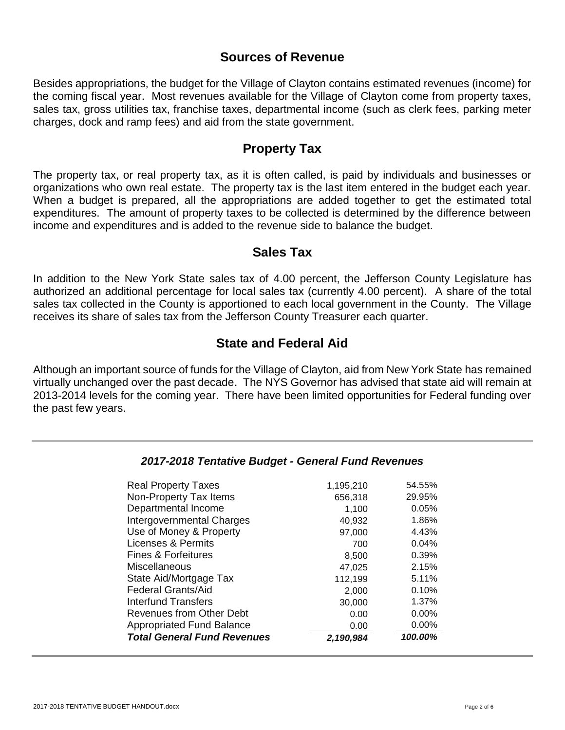#### **Sources of Revenue**

Besides appropriations, the budget for the Village of Clayton contains estimated revenues (income) for the coming fiscal year. Most revenues available for the Village of Clayton come from property taxes, sales tax, gross utilities tax, franchise taxes, departmental income (such as clerk fees, parking meter charges, dock and ramp fees) and aid from the state government.

#### **Property Tax**

The property tax, or real property tax, as it is often called, is paid by individuals and businesses or organizations who own real estate. The property tax is the last item entered in the budget each year. When a budget is prepared, all the appropriations are added together to get the estimated total expenditures. The amount of property taxes to be collected is determined by the difference between income and expenditures and is added to the revenue side to balance the budget.

#### **Sales Tax**

In addition to the New York State sales tax of 4.00 percent, the Jefferson County Legislature has authorized an additional percentage for local sales tax (currently 4.00 percent). A share of the total sales tax collected in the County is apportioned to each local government in the County. The Village receives its share of sales tax from the Jefferson County Treasurer each quarter.

### **State and Federal Aid**

Although an important source of funds for the Village of Clayton, aid from New York State has remained virtually unchanged over the past decade. The NYS Governor has advised that state aid will remain at 2013-2014 levels for the coming year. There have been limited opportunities for Federal funding over the past few years.

| Non-Property Tax Items             | 656,318   | 29.95%   |
|------------------------------------|-----------|----------|
| Departmental Income                | 1,100     | 0.05%    |
| Intergovernmental Charges          | 40,932    | 1.86%    |
| Use of Money & Property            | 97,000    | 4.43%    |
| Licenses & Permits                 | 700       | 0.04%    |
| Fines & Forfeitures                | 8,500     | 0.39%    |
| Miscellaneous                      | 47,025    | 2.15%    |
| State Aid/Mortgage Tax             | 112,199   | 5.11%    |
| <b>Federal Grants/Aid</b>          | 2,000     | 0.10%    |
| <b>Interfund Transfers</b>         | 30,000    | 1.37%    |
| Revenues from Other Debt           | 0.00      | $0.00\%$ |
| <b>Appropriated Fund Balance</b>   | 0.00      | $0.00\%$ |
| <b>Total General Fund Revenues</b> | 2,190,984 | 100.00%  |

#### *2017-2018 Tentative Budget - General Fund Revenues*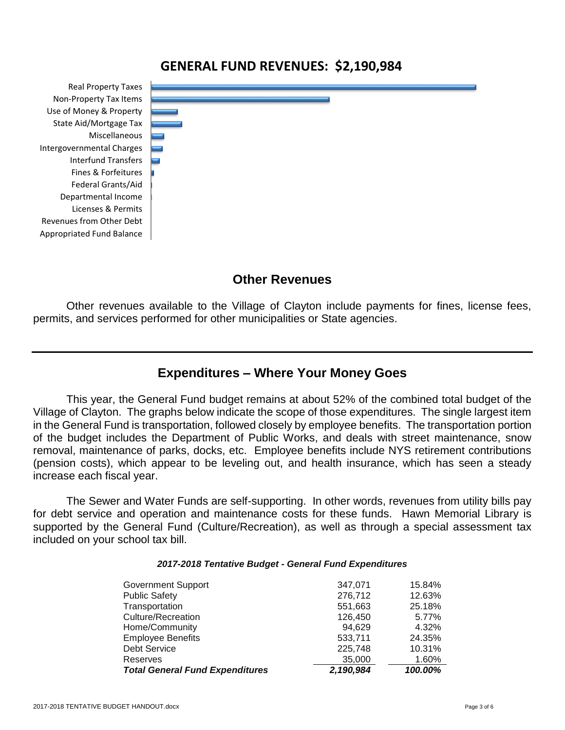### **GENERAL FUND REVENUES: \$2,190,984**

Appropriated Fund Balance Revenues from Other Debt Licenses & Permits Departmental Income Federal Grants/Aid Fines & Forfeitures Interfund Transfers Intergovernmental Charges Miscellaneous State Aid/Mortgage Tax Use of Money & Property Non-Property Tax Items Real Property Taxes



#### **Other Revenues**

Other revenues available to the Village of Clayton include payments for fines, license fees, permits, and services performed for other municipalities or State agencies.

#### **Expenditures – Where Your Money Goes**

This year, the General Fund budget remains at about 52% of the combined total budget of the Village of Clayton. The graphs below indicate the scope of those expenditures. The single largest item in the General Fund is transportation, followed closely by employee benefits. The transportation portion of the budget includes the Department of Public Works, and deals with street maintenance, snow removal, maintenance of parks, docks, etc. Employee benefits include NYS retirement contributions (pension costs), which appear to be leveling out, and health insurance, which has seen a steady increase each fiscal year.

The Sewer and Water Funds are self-supporting. In other words, revenues from utility bills pay for debt service and operation and maintenance costs for these funds. Hawn Memorial Library is supported by the General Fund (Culture/Recreation), as well as through a special assessment tax included on your school tax bill.

#### *2017-2018 Tentative Budget - General Fund Expenditures*

| <b>Government Support</b>              | 347,071   | 15.84%  |
|----------------------------------------|-----------|---------|
| <b>Public Safety</b>                   | 276,712   | 12.63%  |
| Transportation                         | 551,663   | 25.18%  |
| <b>Culture/Recreation</b>              | 126,450   | 5.77%   |
| Home/Community                         | 94.629    | 4.32%   |
| <b>Employee Benefits</b>               | 533.711   | 24.35%  |
| <b>Debt Service</b>                    | 225,748   | 10.31%  |
| Reserves                               | 35,000    | 1.60%   |
| <b>Total General Fund Expenditures</b> | 2,190,984 | 100.00% |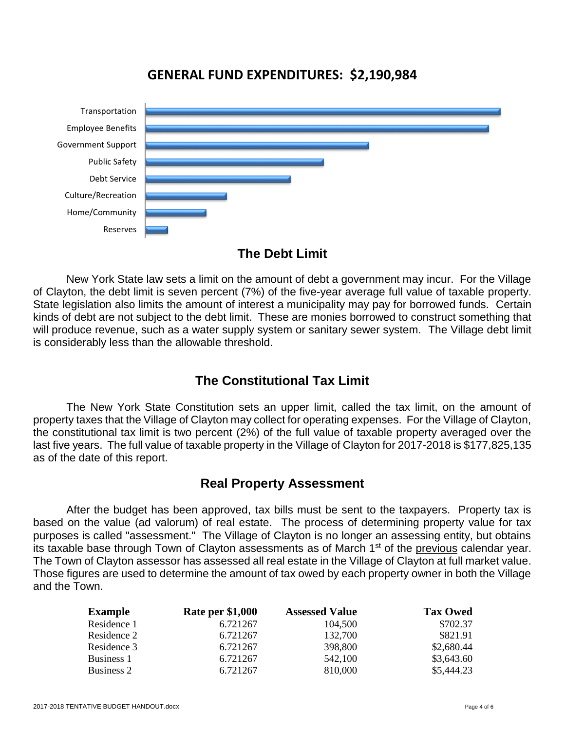### **GENERAL FUND EXPENDITURES: \$2,190,984**



#### **The Debt Limit**

New York State law sets a limit on the amount of debt a government may incur. For the Village of Clayton, the debt limit is seven percent (7%) of the five-year average full value of taxable property. State legislation also limits the amount of interest a municipality may pay for borrowed funds. Certain kinds of debt are not subject to the debt limit. These are monies borrowed to construct something that will produce revenue, such as a water supply system or sanitary sewer system. The Village debt limit is considerably less than the allowable threshold.

## **The Constitutional Tax Limit**

The New York State Constitution sets an upper limit, called the tax limit, on the amount of property taxes that the Village of Clayton may collect for operating expenses. For the Village of Clayton, the constitutional tax limit is two percent (2%) of the full value of taxable property averaged over the last five years. The full value of taxable property in the Village of Clayton for 2017-2018 is \$177,825,135 as of the date of this report.

## **Real Property Assessment**

After the budget has been approved, tax bills must be sent to the taxpayers. Property tax is based on the value (ad valorum) of real estate. The process of determining property value for tax purposes is called "assessment." The Village of Clayton is no longer an assessing entity, but obtains its taxable base through Town of Clayton assessments as of March 1<sup>st</sup> of the previous calendar year. The Town of Clayton assessor has assessed all real estate in the Village of Clayton at full market value. Those figures are used to determine the amount of tax owed by each property owner in both the Village and the Town.

| <b>Example</b> | <b>Rate per \$1,000</b> | <b>Assessed Value</b> | <b>Tax Owed</b> |
|----------------|-------------------------|-----------------------|-----------------|
| Residence 1    | 6.721267                | 104,500               | \$702.37        |
| Residence 2    | 6.721267                | 132,700               | \$821.91        |
| Residence 3    | 6.721267                | 398,800               | \$2,680.44      |
| Business 1     | 6.721267                | 542,100               | \$3,643.60      |
| Business 2     | 6.721267                | 810,000               | \$5,444.23      |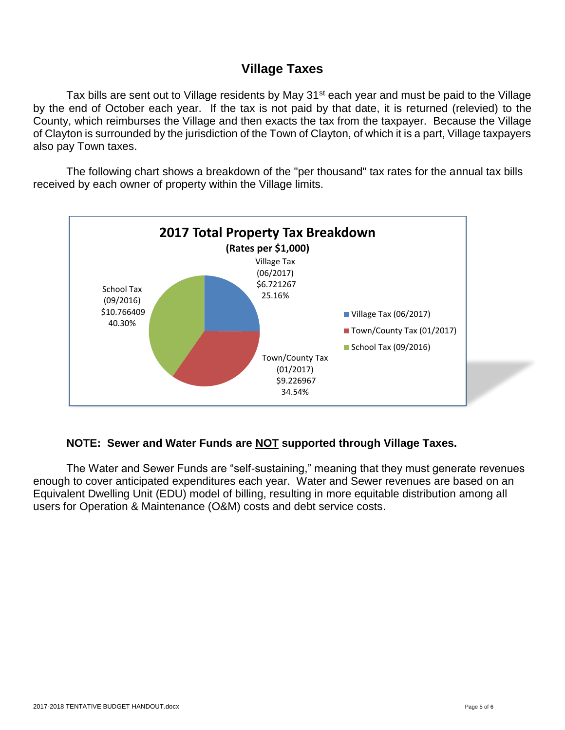### **Village Taxes**

Tax bills are sent out to Village residents by May 31<sup>st</sup> each year and must be paid to the Village by the end of October each year. If the tax is not paid by that date, it is returned (relevied) to the County, which reimburses the Village and then exacts the tax from the taxpayer. Because the Village of Clayton is surrounded by the jurisdiction of the Town of Clayton, of which it is a part, Village taxpayers also pay Town taxes.

The following chart shows a breakdown of the "per thousand" tax rates for the annual tax bills received by each owner of property within the Village limits.



#### **NOTE: Sewer and Water Funds are NOT supported through Village Taxes.**

The Water and Sewer Funds are "self-sustaining," meaning that they must generate revenues enough to cover anticipated expenditures each year. Water and Sewer revenues are based on an Equivalent Dwelling Unit (EDU) model of billing, resulting in more equitable distribution among all users for Operation & Maintenance (O&M) costs and debt service costs.